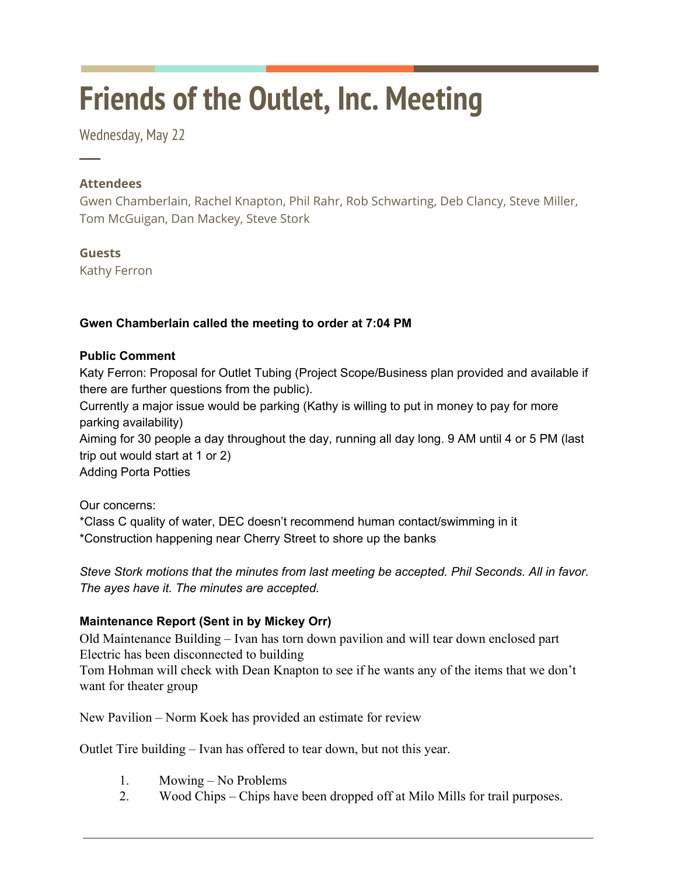# **Friends of the Outlet, Inc. Meeting**

Wednesday, May 22

## **Attendees**

─

Gwen Chamberlain, Rachel Knapton, Phil Rahr, Rob Schwarting, Deb Clancy, Steve Miller, Tom McGuigan, Dan Mackey, Steve Stork

### **Guests**

Kathy Ferron

### **Gwen Chamberlain called the meeting to order at 7:04 PM**

#### **Public Comment**

Katy Ferron: Proposal for Outlet Tubing (Project Scope/Business plan provided and available if there are further questions from the public).

Currently a major issue would be parking (Kathy is willing to put in money to pay for more parking availability)

Aiming for 30 people a day throughout the day, running all day long. 9 AM until 4 or 5 PM (last trip out would start at 1 or 2)

Adding Porta Potties

Our concerns:

\*Class C quality of water, DEC doesn't recommend human contact/swimming in it \*Construction happening near Cherry Street to shore up the banks

*Steve Stork motions that the minutes from last meeting be accepted. Phil Seconds. All in favor. The ayes have it. The minutes are accepted.*

#### **Maintenance Report (Sent in by Mickey Orr)**

Old Maintenance Building – Ivan has torn down pavilion and will tear down enclosed part Electric has been disconnected to building

Tom Hohman will check with Dean Knapton to see if he wants any of the items that we don't want for theater group

New Pavilion – Norm Koek has provided an estimate for review

Outlet Tire building – Ivan has offered to tear down, but not this year.

- 1. Mowing No Problems
- 2. Wood Chips Chips have been dropped off at Milo Mills for trail purposes.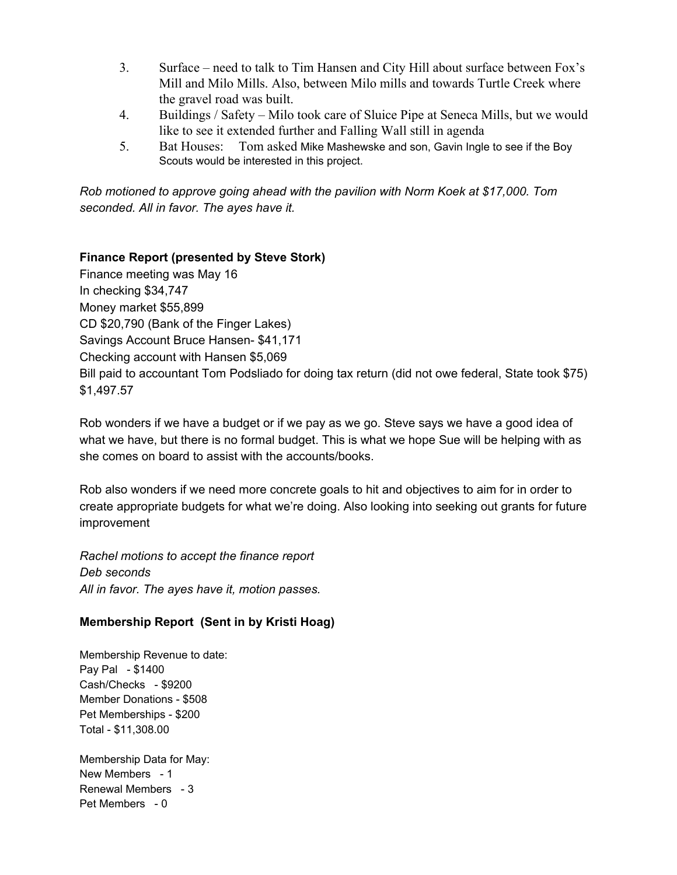- 3. Surface need to talk to Tim Hansen and City Hill about surface between Fox's Mill and Milo Mills. Also, between Milo mills and towards Turtle Creek where the gravel road was built.
- 4. Buildings / Safety Milo took care of Sluice Pipe at Seneca Mills, but we would like to see it extended further and Falling Wall still in agenda
- 5. Bat Houses: Tom asked Mike Mashewske and son, Gavin Ingle to see if the Boy Scouts would be interested in this project.

*Rob motioned to approve going ahead with the pavilion with Norm Koek at \$17,000. Tom seconded. All in favor. The ayes have it.*

#### **Finance Report (presented by Steve Stork)**

Finance meeting was May 16 In checking \$34,747 Money market \$55,899 CD \$20,790 (Bank of the Finger Lakes) Savings Account Bruce Hansen- \$41,171 Checking account with Hansen \$5,069 Bill paid to accountant Tom Podsliado for doing tax return (did not owe federal, State took \$75) \$1,497.57

Rob wonders if we have a budget or if we pay as we go. Steve says we have a good idea of what we have, but there is no formal budget. This is what we hope Sue will be helping with as she comes on board to assist with the accounts/books.

Rob also wonders if we need more concrete goals to hit and objectives to aim for in order to create appropriate budgets for what we're doing. Also looking into seeking out grants for future improvement

*Rachel motions to accept the finance report Deb seconds All in favor. The ayes have it, motion passes.*

## **Membership Report (Sent in by Kristi Hoag)**

Membership Revenue to date: Pay Pal - \$1400 Cash/Checks - \$9200 Member Donations - \$508 Pet Memberships - \$200 Total - \$11,308.00

Membership Data for May: New Members - 1 Renewal Members - 3 Pet Members - 0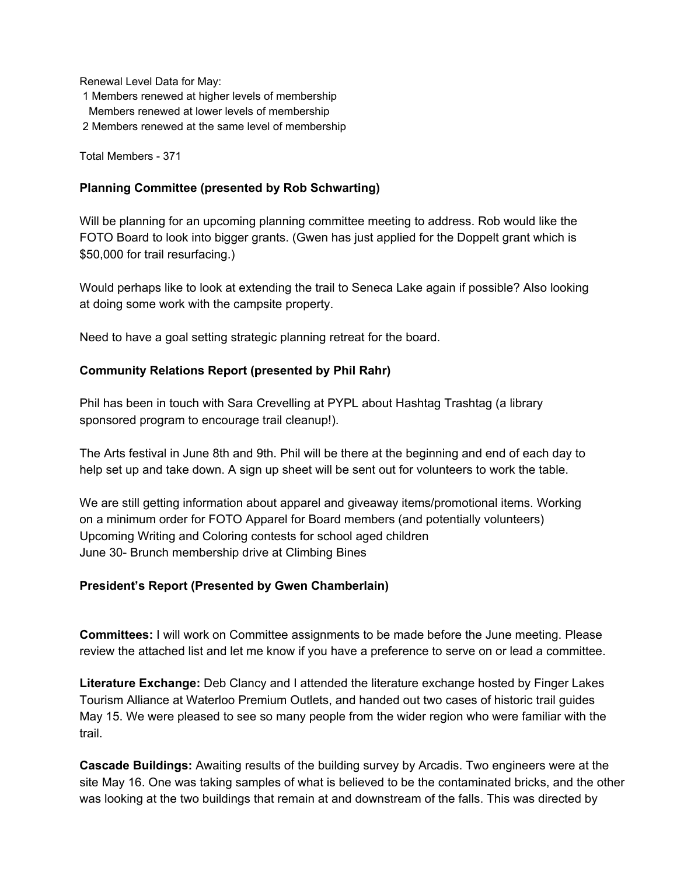Renewal Level Data for May:

1 Members renewed at higher levels of membership

Members renewed at lower levels of membership

2 Members renewed at the same level of membership

Total Members - 371

#### **Planning Committee (presented by Rob Schwarting)**

Will be planning for an upcoming planning committee meeting to address. Rob would like the FOTO Board to look into bigger grants. (Gwen has just applied for the Doppelt grant which is \$50,000 for trail resurfacing.)

Would perhaps like to look at extending the trail to Seneca Lake again if possible? Also looking at doing some work with the campsite property.

Need to have a goal setting strategic planning retreat for the board.

#### **Community Relations Report (presented by Phil Rahr)**

Phil has been in touch with Sara Crevelling at PYPL about Hashtag Trashtag (a library sponsored program to encourage trail cleanup!).

The Arts festival in June 8th and 9th. Phil will be there at the beginning and end of each day to help set up and take down. A sign up sheet will be sent out for volunteers to work the table.

We are still getting information about apparel and giveaway items/promotional items. Working on a minimum order for FOTO Apparel for Board members (and potentially volunteers) Upcoming Writing and Coloring contests for school aged children June 30- Brunch membership drive at Climbing Bines

#### **President's Report (Presented by Gwen Chamberlain)**

**Committees:** I will work on Committee assignments to be made before the June meeting. Please review the attached list and let me know if you have a preference to serve on or lead a committee.

**Literature Exchange:** Deb Clancy and I attended the literature exchange hosted by Finger Lakes Tourism Alliance at Waterloo Premium Outlets, and handed out two cases of historic trail guides May 15. We were pleased to see so many people from the wider region who were familiar with the trail.

**Cascade Buildings:** Awaiting results of the building survey by Arcadis. Two engineers were at the site May 16. One was taking samples of what is believed to be the contaminated bricks, and the other was looking at the two buildings that remain at and downstream of the falls. This was directed by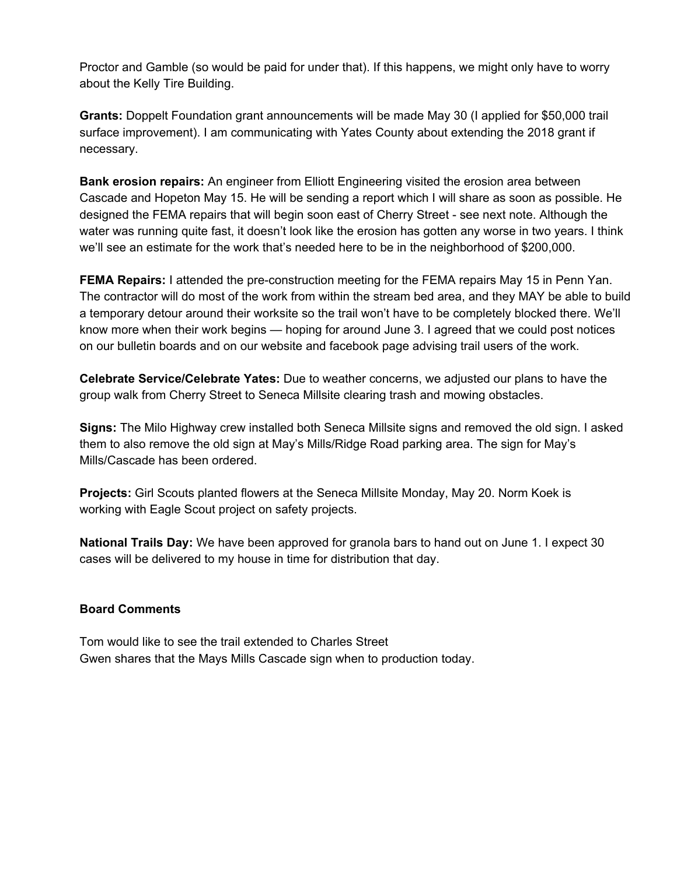Proctor and Gamble (so would be paid for under that). If this happens, we might only have to worry about the Kelly Tire Building.

**Grants:** Doppelt Foundation grant announcements will be made May 30 (I applied for \$50,000 trail surface improvement). I am communicating with Yates County about extending the 2018 grant if necessary.

**Bank erosion repairs:** An engineer from Elliott Engineering visited the erosion area between Cascade and Hopeton May 15. He will be sending a report which I will share as soon as possible. He designed the FEMA repairs that will begin soon east of Cherry Street - see next note. Although the water was running quite fast, it doesn't look like the erosion has gotten any worse in two years. I think we'll see an estimate for the work that's needed here to be in the neighborhood of \$200,000.

**FEMA Repairs:** I attended the pre-construction meeting for the FEMA repairs May 15 in Penn Yan. The contractor will do most of the work from within the stream bed area, and they MAY be able to build a temporary detour around their worksite so the trail won't have to be completely blocked there. We'll know more when their work begins — hoping for around June 3. I agreed that we could post notices on our bulletin boards and on our website and facebook page advising trail users of the work.

**Celebrate Service/Celebrate Yates:** Due to weather concerns, we adjusted our plans to have the group walk from Cherry Street to Seneca Millsite clearing trash and mowing obstacles.

**Signs:** The Milo Highway crew installed both Seneca Millsite signs and removed the old sign. I asked them to also remove the old sign at May's Mills/Ridge Road parking area. The sign for May's Mills/Cascade has been ordered.

**Projects:** Girl Scouts planted flowers at the Seneca Millsite Monday, May 20. Norm Koek is working with Eagle Scout project on safety projects.

**National Trails Day:** We have been approved for granola bars to hand out on June 1. I expect 30 cases will be delivered to my house in time for distribution that day.

#### **Board Comments**

Tom would like to see the trail extended to Charles Street Gwen shares that the Mays Mills Cascade sign when to production today.